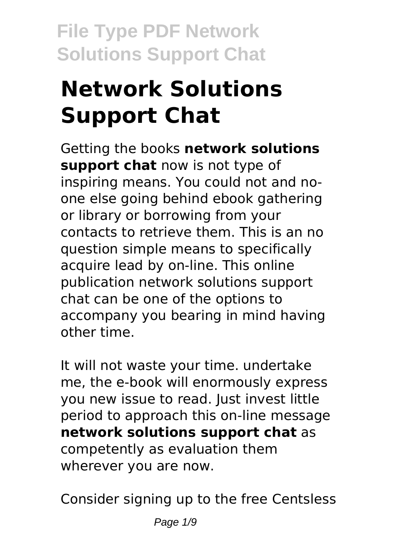# **Network Solutions Support Chat**

Getting the books **network solutions support chat** now is not type of inspiring means. You could not and noone else going behind ebook gathering or library or borrowing from your contacts to retrieve them. This is an no question simple means to specifically acquire lead by on-line. This online publication network solutions support chat can be one of the options to accompany you bearing in mind having other time.

It will not waste your time. undertake me, the e-book will enormously express you new issue to read. Just invest little period to approach this on-line message **network solutions support chat** as competently as evaluation them wherever you are now.

Consider signing up to the free Centsless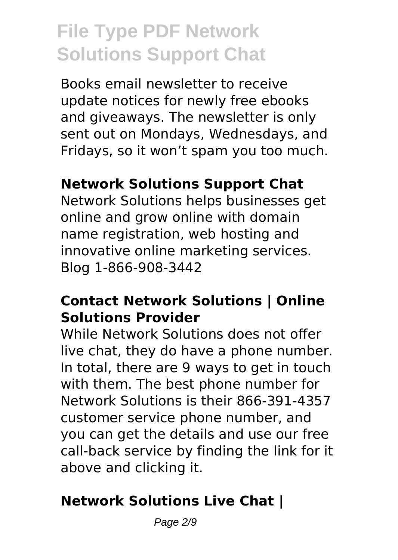Books email newsletter to receive update notices for newly free ebooks and giveaways. The newsletter is only sent out on Mondays, Wednesdays, and Fridays, so it won't spam you too much.

#### **Network Solutions Support Chat**

Network Solutions helps businesses get online and grow online with domain name registration, web hosting and innovative online marketing services. Blog 1-866-908-3442

#### **Contact Network Solutions | Online Solutions Provider**

While Network Solutions does not offer live chat, they do have a phone number. In total, there are 9 ways to get in touch with them. The best phone number for Network Solutions is their 866-391-4357 customer service phone number, and you can get the details and use our free call-back service by finding the link for it above and clicking it.

#### **Network Solutions Live Chat |**

Page 2/9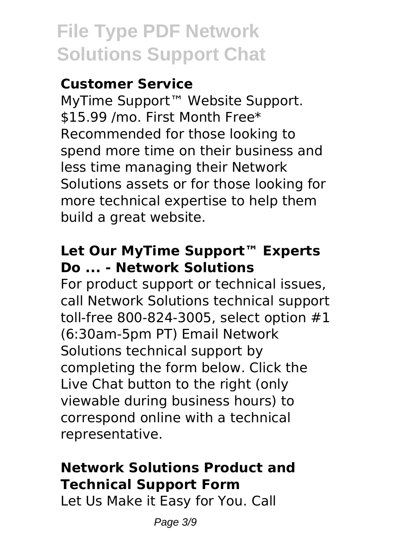# **Customer Service**

MyTime Support™ Website Support. \$15.99 /mo. First Month Free\* Recommended for those looking to spend more time on their business and less time managing their Network Solutions assets or for those looking for more technical expertise to help them build a great website.

# **Let Our MyTime Support™ Experts Do ... - Network Solutions**

For product support or technical issues, call Network Solutions technical support toll-free 800-824-3005, select option #1 (6:30am-5pm PT) Email Network Solutions technical support by completing the form below. Click the Live Chat button to the right (only viewable during business hours) to correspond online with a technical representative.

# **Network Solutions Product and Technical Support Form**

Let Us Make it Easy for You. Call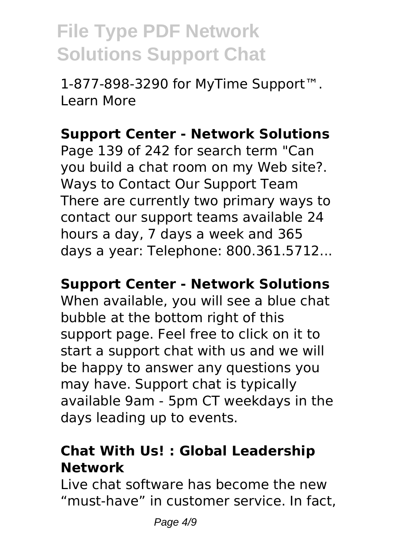1-877-898-3290 for MyTime Support™. Learn More

# **Support Center - Network Solutions**

Page 139 of 242 for search term "Can you build a chat room on my Web site?. Ways to Contact Our Support Team There are currently two primary ways to contact our support teams available 24 hours a day, 7 days a week and 365 days a year: Telephone: 800.361.5712...

#### **Support Center - Network Solutions**

When available, you will see a blue chat bubble at the bottom right of this support page. Feel free to click on it to start a support chat with us and we will be happy to answer any questions you may have. Support chat is typically available 9am - 5pm CT weekdays in the days leading up to events.

# **Chat With Us! : Global Leadership Network**

Live chat software has become the new "must-have" in customer service. In fact,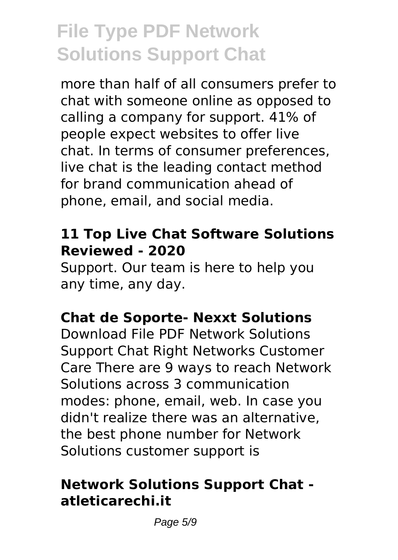more than half of all consumers prefer to chat with someone online as opposed to calling a company for support. 41% of people expect websites to offer live chat. In terms of consumer preferences, live chat is the leading contact method for brand communication ahead of phone, email, and social media.

#### **11 Top Live Chat Software Solutions Reviewed - 2020**

Support. Our team is here to help you any time, any day.

# **Chat de Soporte- Nexxt Solutions**

Download File PDF Network Solutions Support Chat Right Networks Customer Care There are 9 ways to reach Network Solutions across 3 communication modes: phone, email, web. In case you didn't realize there was an alternative, the best phone number for Network Solutions customer support is

# **Network Solutions Support Chat atleticarechi.it**

Page 5/9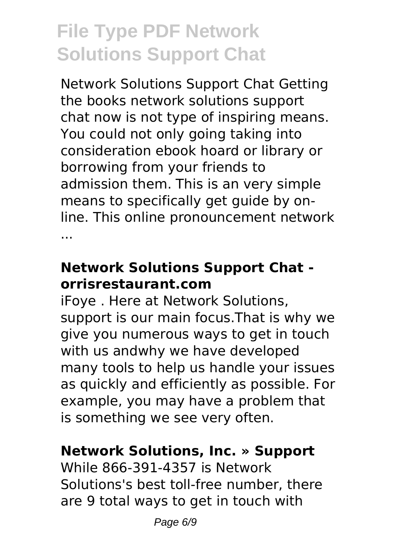Network Solutions Support Chat Getting the books network solutions support chat now is not type of inspiring means. You could not only going taking into consideration ebook hoard or library or borrowing from your friends to admission them. This is an very simple means to specifically get guide by online. This online pronouncement network ...

# **Network Solutions Support Chat orrisrestaurant.com**

iFoye . Here at Network Solutions, support is our main focus.That is why we give you numerous ways to get in touch with us andwhy we have developed many tools to help us handle your issues as quickly and efficiently as possible. For example, you may have a problem that is something we see very often.

# **Network Solutions, Inc. » Support**

While 866-391-4357 is Network Solutions's best toll-free number, there are 9 total ways to get in touch with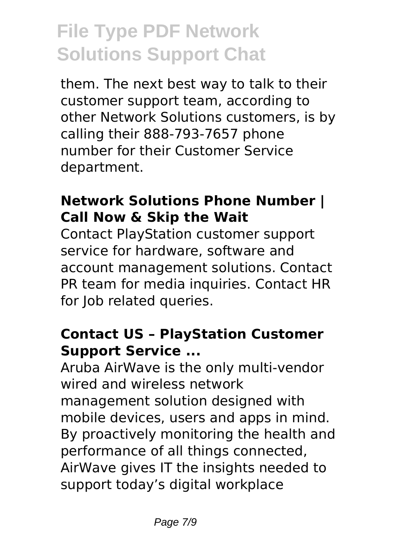them. The next best way to talk to their customer support team, according to other Network Solutions customers, is by calling their 888-793-7657 phone number for their Customer Service department.

# **Network Solutions Phone Number | Call Now & Skip the Wait**

Contact PlayStation customer support service for hardware, software and account management solutions. Contact PR team for media inquiries. Contact HR for Job related queries.

# **Contact US – PlayStation Customer Support Service ...**

Aruba AirWave is the only multi-vendor wired and wireless network management solution designed with mobile devices, users and apps in mind. By proactively monitoring the health and performance of all things connected, AirWave gives IT the insights needed to support today's digital workplace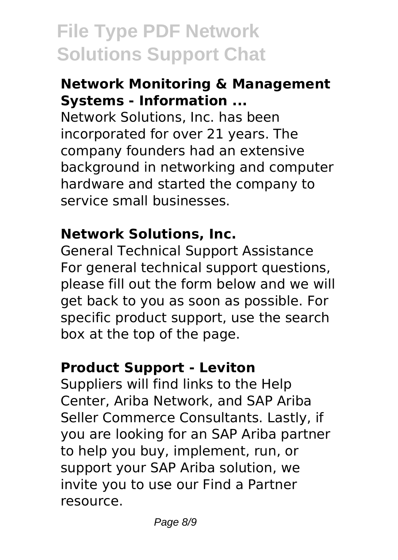#### **Network Monitoring & Management Systems - Information ...**

Network Solutions, Inc. has been incorporated for over 21 years. The company founders had an extensive background in networking and computer hardware and started the company to service small businesses.

# **Network Solutions, Inc.**

General Technical Support Assistance For general technical support questions, please fill out the form below and we will get back to you as soon as possible. For specific product support, use the search box at the top of the page.

# **Product Support - Leviton**

Suppliers will find links to the Help Center, Ariba Network, and SAP Ariba Seller Commerce Consultants. Lastly, if you are looking for an SAP Ariba partner to help you buy, implement, run, or support your SAP Ariba solution, we invite you to use our Find a Partner resource.